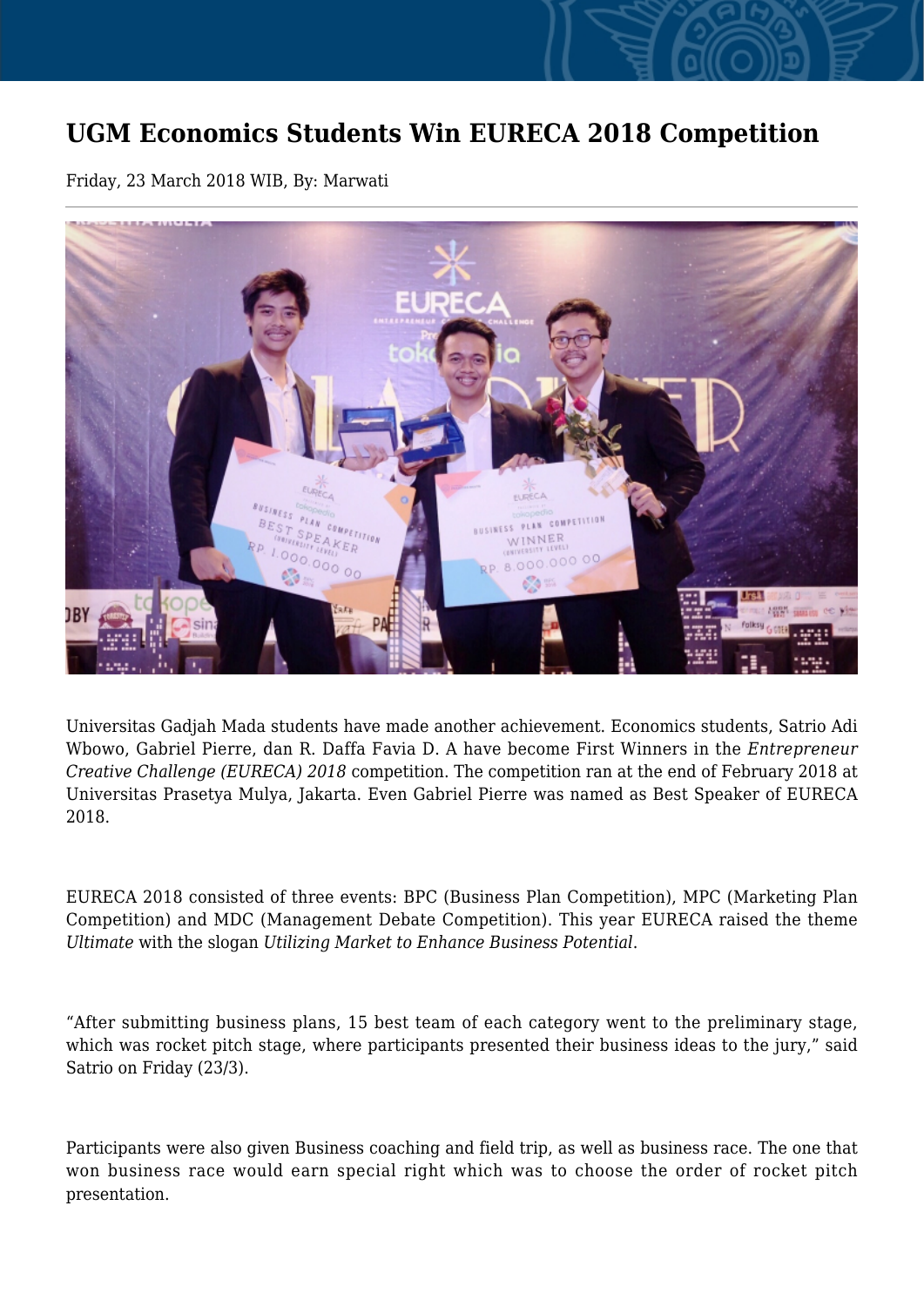## **UGM Economics Students Win EURECA 2018 Competition**

Friday, 23 March 2018 WIB, By: Marwati



Universitas Gadjah Mada students have made another achievement. Economics students, Satrio Adi Wbowo, Gabriel Pierre, dan R. Daffa Favia D. A have become First Winners in the *Entrepreneur Creative Challenge (EURECA) 2018* competition. The competition ran at the end of February 2018 at Universitas Prasetya Mulya, Jakarta. Even Gabriel Pierre was named as Best Speaker of EURECA 2018.

EURECA 2018 consisted of three events: BPC (Business Plan Competition), MPC (Marketing Plan Competition) and MDC (Management Debate Competition). This year EURECA raised the theme *Ultimate* with the slogan *Utilizing Market to Enhance Business Potential*.

"After submitting business plans, 15 best team of each category went to the preliminary stage, which was rocket pitch stage, where participants presented their business ideas to the jury," said Satrio on Friday (23/3).

Participants were also given Business coaching and field trip, as well as business race. The one that won business race would earn special right which was to choose the order of rocket pitch presentation.